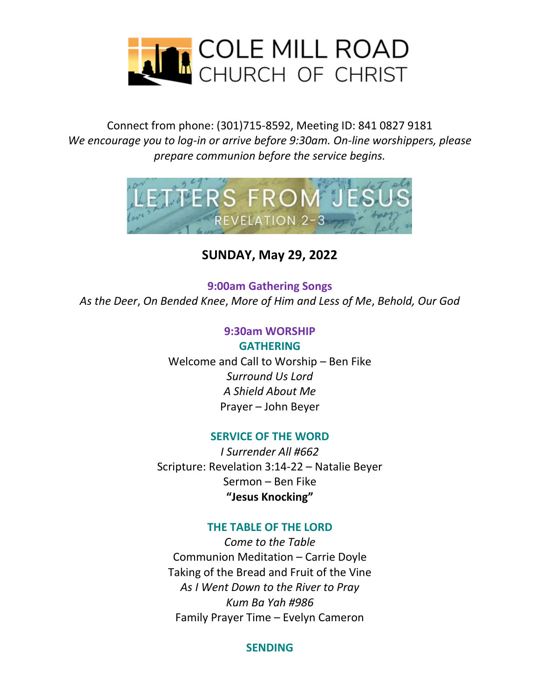

### Connect from phone: (301)715-8592, Meeting ID: 841 0827 9181 *We encourage you to log-in or arrive before 9:30am. On-line worshippers, please prepare communion before the service begins.*



## **SUNDAY, May 29, 2022**

**9:00am Gathering Songs** *As the Deer*, *On Bended Knee*, *More of Him and Less of Me*, *Behold, Our God*

#### **9:30am WORSHIP GATHERING**

Welcome and Call to Worship – Ben Fike *Surround Us Lord A Shield About Me* Prayer – John Beyer

#### **SERVICE OF THE WORD**

*I Surrender All #662* Scripture: Revelation 3:14-22 – Natalie Beyer Sermon – Ben Fike **"Jesus Knocking"**

#### **THE TABLE OF THE LORD**

*Come to the Table* Communion Meditation – Carrie Doyle Taking of the Bread and Fruit of the Vine *As I Went Down to the River to Pray Kum Ba Yah #986* Family Prayer Time – Evelyn Cameron

#### **SENDING**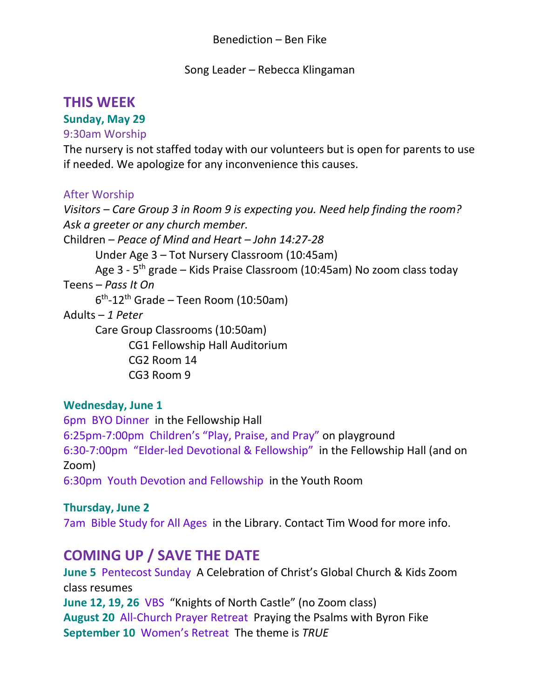Song Leader – Rebecca Klingaman

# **THIS WEEK**

## **Sunday, May 29**

## 9:30am Worship

The nursery is not staffed today with our volunteers but is open for parents to use if needed. We apologize for any inconvenience this causes.

#### After Worship

*Visitors – Care Group 3 in Room 9 is expecting you. Need help finding the room? Ask a greeter or any church member.*  Children – *Peace of Mind and Heart – John 14:27-28* Under Age 3 – Tot Nursery Classroom (10:45am) Age 3 - 5<sup>th</sup> grade – Kids Praise Classroom (10:45am) No zoom class today Teens – *Pass It On* 6 th -12th Grade – Teen Room (10:50am) Adults – *1 Peter* Care Group Classrooms (10:50am) CG1 Fellowship Hall Auditorium CG2 Room 14 CG3 Room 9

#### **Wednesday, June 1**

6pm BYO Dinner in the Fellowship Hall 6:25pm-7:00pm Children's "Play, Praise, and Pray" on playground 6:30-7:00pm "Elder-led Devotional & Fellowship" in the Fellowship Hall (and on Zoom) 6:30pm Youth Devotion and Fellowship in the Youth Room

#### **Thursday, June 2**

7am Bible Study for All Ages in the Library. Contact Tim Wood for more info.

# **COMING UP / SAVE THE DATE**

**June 5** Pentecost Sunday A Celebration of Christ's Global Church & Kids Zoom class resumes **June 12, 19, 26** VBS "Knights of North Castle" (no Zoom class) **August 20** All-Church Prayer Retreat Praying the Psalms with Byron Fike **September 10** Women's Retreat The theme is *TRUE*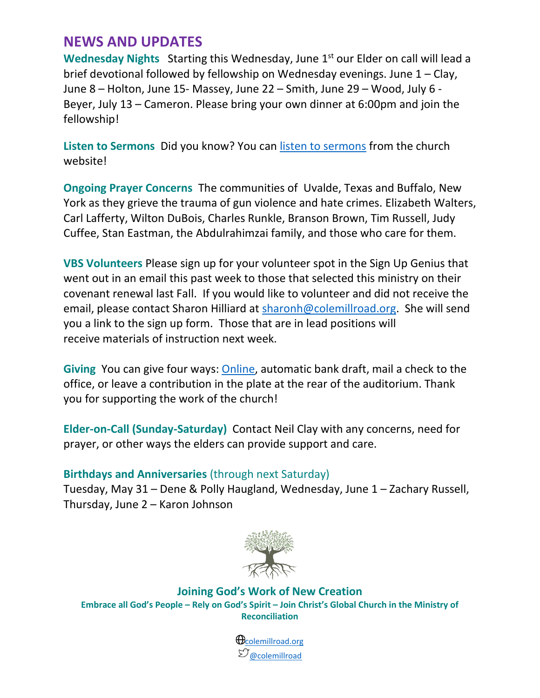## **NEWS AND UPDATES**

Wednesday Nights Starting this Wednesday, June 1<sup>st</sup> our Elder on call will lead a brief devotional followed by fellowship on Wednesday evenings. June 1 – Clay, June 8 – Holton, June 15- Massey, June 22 – Smith, June 29 – Wood, July 6 - Beyer, July 13 – Cameron. Please bring your own dinner at 6:00pm and join the fellowship!

**Listen to Sermons** Did you know? You can [listen to sermons](https://colemillroad.org/index.php/media-files/sermons) from the church website!

**Ongoing Prayer Concerns** The communities of Uvalde, Texas and Buffalo, New York as they grieve the trauma of gun violence and hate crimes. Elizabeth Walters, Carl Lafferty, Wilton DuBois, Charles Runkle, Branson Brown, Tim Russell, Judy Cuffee, Stan Eastman, the Abdulrahimzai family, and those who care for them.

**VBS Volunteers** Please sign up for your volunteer spot in the Sign Up Genius that went out in an email this past week to those that selected this ministry on their covenant renewal last Fall. If you would like to volunteer and did not receive the email, please contact Sharon Hilliard at [sharonh@colemillroad.org.](mailto:sharonh@colemillroad.org) She will send you a link to the sign up form. Those that are in lead positions will receive materials of instruction next week.

**Giving** You can give four ways: [Online,](https://www.paypal.com/donate/?hosted_button_id=FLNLFZCNSFEME) automatic bank draft, mail a check to the office, or leave a contribution in the plate at the rear of the auditorium. Thank you for supporting the work of the church!

**Elder-on-Call (Sunday-Saturday)** Contact Neil Clay with any concerns, need for prayer, or other ways the elders can provide support and care.

#### **Birthdays and Anniversaries** (through next Saturday)

Tuesday, May 31 – Dene & Polly Haugland, Wednesday, June 1 – Zachary Russell, Thursday, June 2 – Karon Johnson



**Joining God's Work of New Creation Embrace all God's People – Rely on God's Spirit – Join Christ's Global Church in the Ministry of Reconciliation**